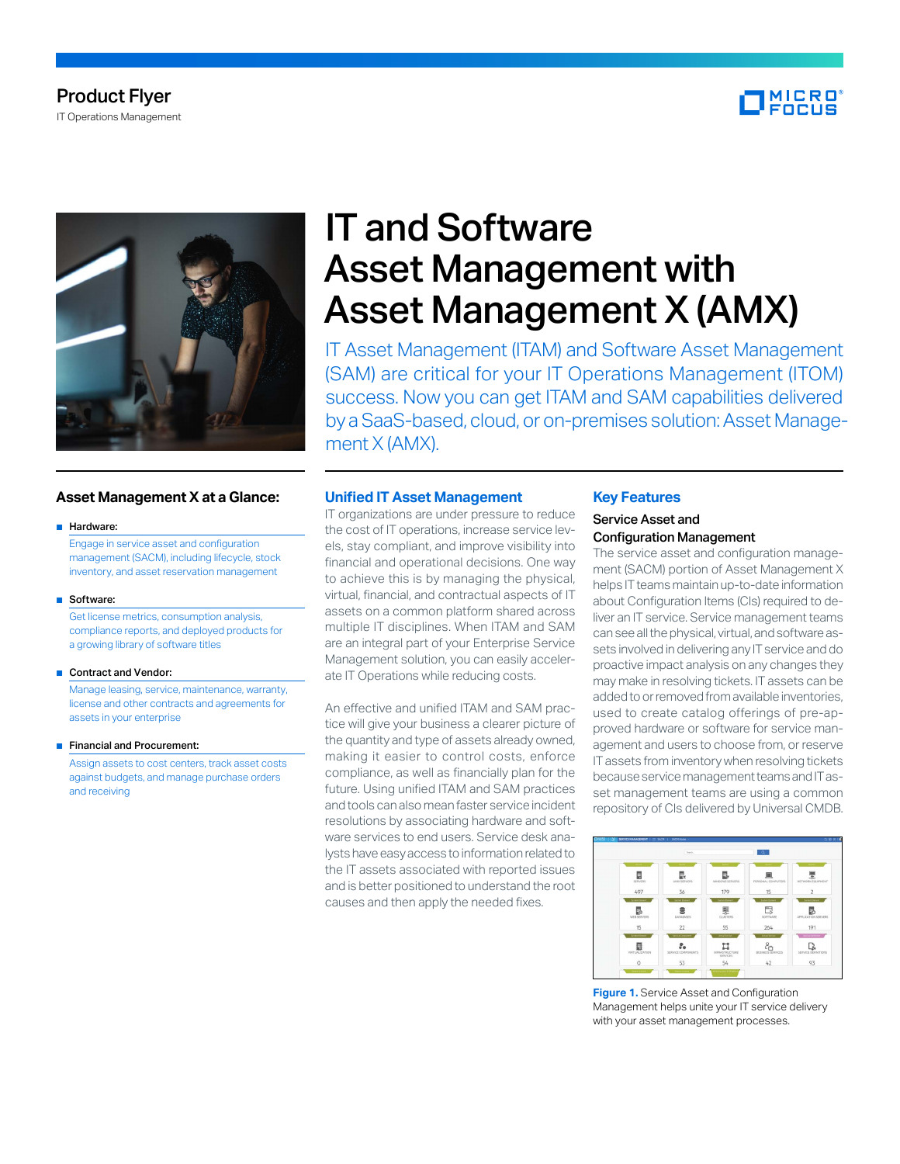

Product Flyer IT Operations Management

# **Asset Management X at a Glance:**

#### ■ Hardware:

Engage in service asset and configuration management (SACM), including lifecycle, stock inventory, and asset reservation management

#### ■ Software:

 Get license metrics, consumption analysis, compliance reports, and deployed products for a growing library of software titles

#### ■ Contract and Vendor:

Manage leasing, service, maintenance, warranty, license and other contracts and agreements for assets in your enterprise

#### ■ Financial and Procurement:

Assign assets to cost centers, track asset costs against budgets, and manage purchase orders and receiving

# IT and Software Asset Management with Asset Management X (AMX)

IT Asset Management (ITAM) and Software Asset Management (SAM) are critical for your IT Operations Management (ITOM) success. Now you can get ITAM and SAM capabilities delivered by a SaaS-based, cloud, or on-premises solution: Asset Management X (AMX).

### **Unified IT Asset Management**

IT organizations are under pressure to reduce the cost of IT operations, increase service levels, stay compliant, and improve visibility into financial and operational decisions. One way to achieve this is by managing the physical, virtual, financial, and contractual aspects of IT assets on a common platform shared across multiple IT disciplines. When ITAM and SAM are an integral part of your Enterprise Service Management solution, you can easily accelerate IT Operations while reducing costs.

An effective and unified ITAM and SAM practice will give your business a clearer picture of the quantity and type of assets already owned, making it easier to control costs, enforce compliance, as well as financially plan for the future. Using unified ITAM and SAM practices and tools can also mean faster service incident resolutions by associating hardware and software services to end users. Service desk analysts have easy access to information related to the IT assets associated with reported issues and is better positioned to understand the root causes and then apply the needed fixes.

### **Key Features**

# Service Asset and Configuration Management

The service asset and configuration management (SACM) portion of Asset Management X helps IT teams maintain up-to-date information about Configuration Items (CIs) required to deliver an IT service. Service management teams can see all the physical, virtual, and software assets involved in delivering any IT service and do proactive impact analysis on any changes they may make in resolving tickets. IT assets can be added to or removed from available inventories, used to create catalog offerings of pre-approved hardware or software for service management and users to choose from, or reserve IT assets from inventory when resolving tickets because service management teams and IT asset management teams are using a common repository of CIs delivered by Universal CMDB.



**Figure 1.** Service Asset and Configuration Management helps unite your IT service delivery with your asset management processes.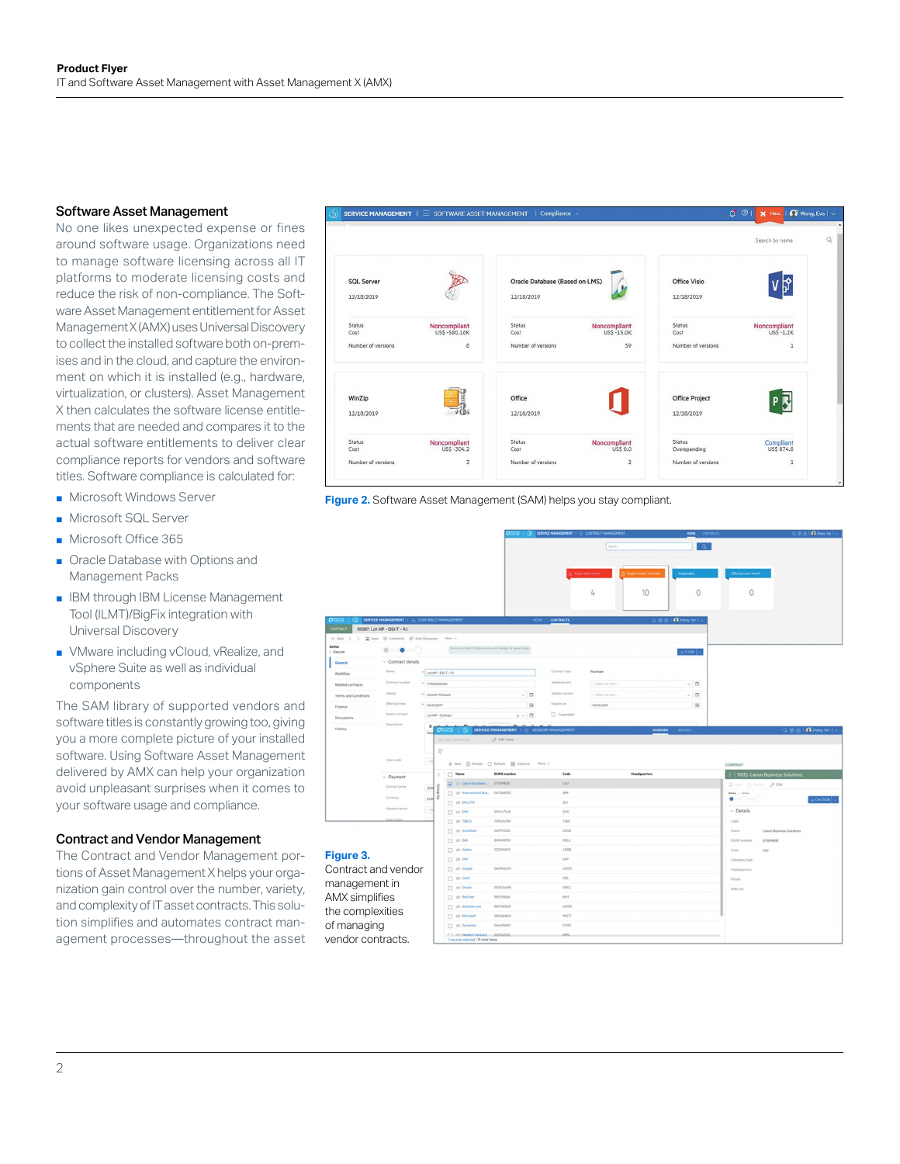# Software Asset Management

No one likes unexpected expense or fines around software usage. Organizations need to manage software licensing across all IT platforms to moderate licensing costs and reduce the risk of non-compliance. The Software Asset Management entitlement for Asset Management X (AMX) uses Universal Discovery to collect the installed software both on-premises and in the cloud, and capture the environment on which it is installed (e.g., hardware, virtualization, or clusters). Asset Management X then calculates the software license entitlements that are needed and compares it to the actual software entitlements to deliver clear compliance reports for vendors and software titles. Software compliance is calculated for:

- Microsoft Windows Server
- Microsoft SQL Server
- Microsoft Office 365
- Oracle Database with Options and Management Packs
- IBM through IBM License Management Tool (ILMT)/BigFix integration with Universal Discovery
- VMware including vCloud, vRealize, and vSphere Suite as well as individual components

The SAM library of supported vendors and software titles is constantly growing too, giving you a more complete picture of your installed software. Using Software Asset Management delivered by AMX can help your organization avoid unpleasant surprises when it comes to your software usage and compliance.

#### Contract and Vendor Management

The Contract and Vendor Management portions of Asset Management X helps your organization gain control over the number, variety, and complexity of IT asset contracts. This solution simplifies and automates contract management processes—throughout the asset



**Figure 2.** Software Asset Management (SAM) helps you stay compliant.

|                               |                                            |                       |                                                                             | <b>OESSE</b>                           |                         | SERVICE MANAGEMENT   = CONTRACT MANAGEMENT | HOME CONTRACTS             | Q B B   Q Dang fan   -                          |
|-------------------------------|--------------------------------------------|-----------------------|-----------------------------------------------------------------------------|----------------------------------------|-------------------------|--------------------------------------------|----------------------------|-------------------------------------------------|
|                               |                                            |                       |                                                                             |                                        |                         | Search.                                    | Q.                         |                                                 |
|                               |                                            |                       |                                                                             |                                        |                         |                                            |                            |                                                 |
|                               |                                            |                       |                                                                             |                                        |                         | Expire in eest 3 month<br>Expressed month. | Suspended                  | Effective next month                            |
|                               |                                            |                       |                                                                             |                                        |                         |                                            |                            |                                                 |
|                               |                                            |                       |                                                                             |                                        |                         | 10<br>4                                    | 0                          | $\circ$                                         |
|                               |                                            |                       |                                                                             |                                        |                         |                                            |                            |                                                 |
| ORSSE                         | SERVICE MANAGEMENT   = CONTRACT MANAGEMENT |                       |                                                                             | HOME                                   | <b>CONTRACTS</b>        |                                            | Q @ @   Q Dang Yan         |                                                 |
| CONTRACT                      | 10087: Lot HP - DSI-T - 9J                 |                       |                                                                             |                                        |                         |                                            |                            |                                                 |
| $\leftarrow$ Back<br>$\infty$ | Swe @ Conmerts @ Start Discussion          |                       | More v                                                                      |                                        |                         |                                            |                            |                                                 |
| Active<br>$\sum$ Execute      | ۰                                          |                       | Kenze central, Cloudy mobile and monge all agreed goals.                    |                                        |                         |                                            | $\rightarrow$ close $\sim$ |                                                 |
| General                       | - Contract details                         |                       |                                                                             |                                        |                         |                                            |                            |                                                 |
| Workfilms                     | Navia                                      | * Lot HP - DSI-T - 9J |                                                                             |                                        | Contract hipe           | Purchase                                   |                            |                                                 |
| <b>Related contracts</b>      | Contract manbe                             | * CTRODOSSSNe         |                                                                             |                                        | Administrator           | - Select an item                           | v B                        |                                                 |
| Terms and Conditions          | Vendor                                     | * Hewlett Packard     |                                                                             | $-1$                                   | Vendor contact          | - Select an item                           | $~\vee~$ 13                |                                                 |
| Finance                       | Effective from                             | * 06/16/2017          |                                                                             | 薩                                      | Expires on              | 05/16/2021                                 | $\overline{18}$            |                                                 |
| Discussions                   | Parent contract                            | Lot HP - Contract     |                                                                             | $x - 1$<br>e                           | <sup>[]</sup> Suspended |                                            |                            |                                                 |
| History.                      | Description                                | $B =$                 | $O7552 + O$                                                                 | SERVICE MANAGEMENT                     | VENDOR MANAGEMENT       | <b>VENDORS</b>                             | <b>BRAND</b>               | Q @ @   Q Zhang Yan                             |
|                               |                                            |                       |                                                                             |                                        |                         |                                            |                            |                                                 |
|                               |                                            | $\overline{z_{\ell}}$ |                                                                             |                                        |                         |                                            |                            |                                                 |
|                               | Close code                                 | Шs                    |                                                                             | * New @ Details C Refresh IIII Columns | More -                  |                                            |                            | COMPANY                                         |
|                               | $~\vee~$ Payment                           | 5                     | Name                                                                        | <b>DUNS</b> number                     | Code                    | <b>Headquarters</b>                        |                            | >   11013; Canon Business Solutions             |
|                               | Contract price                             | 200                   | (C) Illi Canon Business                                                     | 071619878                              | CAJ                     |                                            |                            | Ein @ Dinni 2 Edit                              |
|                               | Currency                                   | s<br>EUR              | [1] Vit International Bus., 001568083                                       |                                        | me                      |                                            |                            | Adies : Adies<br>$\bullet$<br>-0-0<br>> CAUTION |
|                               | Payment terms                              |                       | <b>DAUTE</b>                                                                |                                        | DLT                     |                                            |                            |                                                 |
|                               | <b>Dat casts</b>                           |                       | $\Box$ in the                                                               | 097467148                              | ENC                     |                                            |                            | $~\vee$ Details                                 |
|                               |                                            |                       | $\Box$ in 1900                                                              | 700534780                              | TIER                    |                                            |                            | Logi-                                           |
|                               |                                            |                       | T I'll AunoDesk                                                             | 069701282                              | <b>ADSK</b>             |                                            |                            | Name<br>Canon Business Solutions                |
|                               |                                            |                       | 口 riv Dell                                                                  | 860408592                              | DELL                    |                                            |                            | DUNS number<br>071679878                        |
| Figure 3.                     |                                            |                       | □ it Adabe                                                                  | 102096559                              | ADBE                    |                                            |                            | Code<br>CAJ                                     |
|                               |                                            |                       | 口 市 548                                                                     |                                        | 588                     |                                            |                            | Company type                                    |
| Contract and vendor           |                                            |                       | <sup>2</sup> Til Google                                                     | 060902413                              | 0006<br>cei             |                                            |                            | Headquarters                                    |
| management in                 |                                            |                       | $\Box$ ill Corel<br><sup>2</sup> ill Oracle                                 | 005536698                              | ORCL                    |                                            |                            | Phone<br>Web site                               |
| AMX simplifies                |                                            |                       | <b>D</b> Vs Red Hat                                                         | 989781836                              | RHT                     |                                            |                            |                                                 |
|                               |                                            |                       | <sup>2</sup> in Amazon.com                                                  | <b>BRAZASSIO</b>                       | AMZN                    |                                            |                            |                                                 |
| the complexities              |                                            |                       | T ilk Microsoft                                                             | CITICSARVA                             | NSFT                    |                                            |                            |                                                 |
| of managing                   |                                            |                       | <sup>2</sup> ift Symantes                                                   | 064696941                              | SYMC                    |                                            |                            |                                                 |
| vendor contracts.             |                                            |                       | T. L. (f) Hewlett Packard  009122532<br>1 records selected   19 total items |                                        | <b>HFO</b>              |                                            |                            |                                                 |
|                               |                                            |                       |                                                                             |                                        |                         |                                            |                            |                                                 |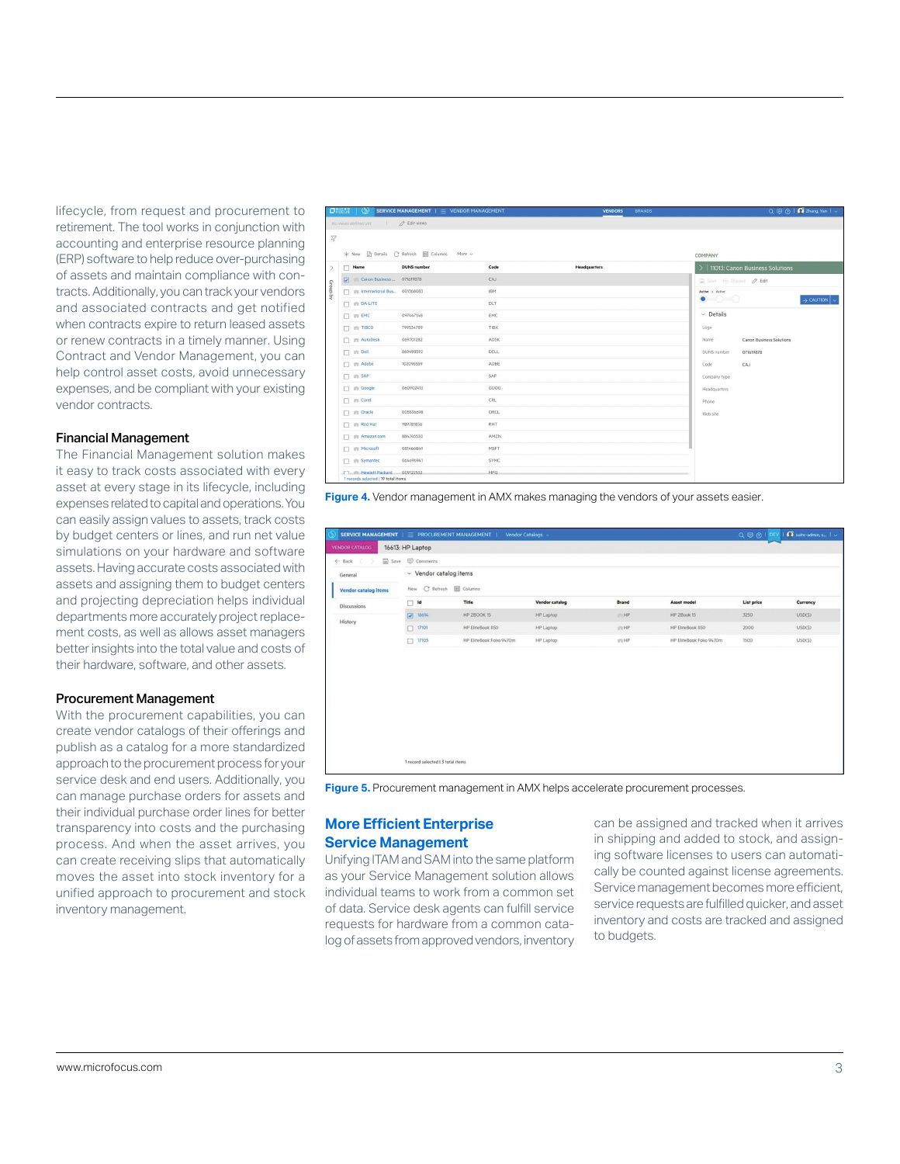lifecycle, from request and procurement to retirement. The tool works in conjunction with accounting and enterprise resource planning (ERP) software to help reduce over-purchasing of assets and maintain compliance with contracts. Additionally, you can track your vendors and associated contracts and get notified when contracts expire to return leased assets or renew contracts in a timely manner. Using Contract and Vendor Management, you can help control asset costs, avoid unnecessary expenses, and be compliant with your existing vendor contracts.

# Financial Management

The Financial Management solution makes it easy to track costs associated with every asset at every stage in its lifecycle, including expenses related to capital and operations. You can easily assign values to assets, track costs by budget centers or lines, and run net value simulations on your hardware and software assets. Having accurate costs associated with assets and assigning them to budget centers and projecting depreciation helps individual departments more accurately project replacement costs, as well as allows asset managers better insights into the total value and costs of their hardware, software, and other assets.

#### Procurement Management

With the procurement capabilities, you can create vendor catalogs of their offerings and publish as a catalog for a more standardized approach to the procurement process for your service desk and end users. Additionally, you can manage purchase orders for assets and their individual purchase order lines for better transparency into costs and the purchasing process. And when the asset arrives, you can create receiving slips that automatically moves the asset into stock inventory for a unified approach to procurement and stock inventory management.

|                           | $\Box$                              | SERVICE MANAGEMENT $\vert \equiv$ VENDOR MANAGEMENT     |             | <b>BRANDS</b><br><b>VENDORS</b> | Q @ @   <b>Q</b> Zhang, Yan   v                           |  |  |
|---------------------------|-------------------------------------|---------------------------------------------------------|-------------|---------------------------------|-----------------------------------------------------------|--|--|
|                           | No views defined yet / 2 Edit views |                                                         |             |                                 |                                                           |  |  |
| $\sqrt{2}$                |                                     |                                                         |             |                                 |                                                           |  |  |
|                           |                                     | * New <b>Details</b> C Refresh <b>EE</b> Columns More ~ |             |                                 |                                                           |  |  |
|                           |                                     |                                                         |             |                                 | COMPANY                                                   |  |  |
| $\mathcal{P}$<br>Croup by | $\Box$ Name                         | <b>DUNS</b> number                                      | Code        | <b>Headquarters</b>             | >   11013: Canon Business Solutions                       |  |  |
|                           | Canon Business  071619878           |                                                         | CAJ         |                                 | $\Box$ Save $\ominus$ Discard $\oslash$ Edit              |  |  |
|                           | T ## International Bus 001368083    |                                                         | <b>IBM</b>  |                                 | Active > Active                                           |  |  |
|                           | <b>DA-LITE</b>                      |                                                         | DLT         |                                 | $\bullet$ $\circ$ $\circ$<br>$\rightarrow$ CAUTION $\sim$ |  |  |
|                           | $\Box$ $\dot{m}$ EMC                | 097447148                                               | EMC         |                                 | $~\vee~$ Details                                          |  |  |
|                           | $\Box$ $\hat{m}$ TIBCO              | 799534789                                               | TIBX        |                                 | Logo                                                      |  |  |
|                           | T # AutoDesk                        | 069701282                                               | ADSK        |                                 | Name<br>Canon Business Solutions                          |  |  |
|                           | $\Box$ $\otimes$ Dell               | 869498592                                               | <b>DELL</b> |                                 | DUNS number<br>071619878                                  |  |  |
|                           | □ 命 Adobe                           | 102096559                                               | ADBE        |                                 | Code<br>CAJ                                               |  |  |
|                           | □ 命 SAP                             |                                                         | SAP         |                                 | Company type                                              |  |  |
|                           | T ift Google                        | 060902413                                               | GOOG        |                                 | Headquarters                                              |  |  |
|                           | □ m Corel                           |                                                         | CRL         |                                 | Phone                                                     |  |  |
|                           | <sup>1</sup> The Oracle             | 005536698                                               | ORCL        |                                 | Web site                                                  |  |  |
|                           | <b>T</b> ift Red Hat                | 989781836                                               | RHT         |                                 |                                                           |  |  |
|                           | □ 命 Amazon.com                      | 884745530                                               | AMZN        |                                 |                                                           |  |  |
|                           | <b>Microsoft</b>                    | 081466849                                               | MSFT        |                                 |                                                           |  |  |
|                           | T in Symantec                       | 064696941                                               | SYMC        |                                 |                                                           |  |  |
|                           | Hewlett Packard                     | 009122532                                               | HPO.        |                                 |                                                           |  |  |

**Figure 4.** Vendor management in AMX makes managing the vendors of your assets easier.

| SERVICE MANAGEMENT   = PROCUREMENT MANAGEMENT |                                   |                                | Vendor Catalogs » |                   |                          | $Q \bigoplus Q$   DEV | $\Omega$ suite-admin, s. $\sim$ $\sim$ |  |  |
|-----------------------------------------------|-----------------------------------|--------------------------------|-------------------|-------------------|--------------------------|-----------------------|----------------------------------------|--|--|
| <b>VENDOR CATALOG</b>                         | 16613: HP Laptop                  |                                |                   |                   |                          |                       |                                        |  |  |
| Save<br>$\leftarrow$ Back                     | Comments                          |                                |                   |                   |                          |                       |                                        |  |  |
| General                                       | $\vee$ Vendor catalog items       |                                |                   |                   |                          |                       |                                        |  |  |
| <b>Vendor catalog items</b>                   | New                               | <b>EE</b> Columns<br>C Refresh |                   |                   |                          |                       |                                        |  |  |
| <b>Discussions</b>                            | $\Box$ Id                         | Title                          | Vendor catalog    | <b>Brand</b>      | Asset model              | List price            | Currency                               |  |  |
| History                                       | 76614                             | HP ZBOOK 15                    | HP Laptop         | H <sub>2</sub> HP | HP ZBook 15              | 3250                  | USD(\$)                                |  |  |
|                                               | 17101                             | HP EliteBook 850               | HP Laptop         | :TUHP             | HP EliteBook 850         | 2000                  | USD(\$)                                |  |  |
|                                               | 17103<br>π                        | HP EliteBook Folio 9470m       | HP Laptop         | <b>ITU HP</b>     | HP EliteBook Folio 9470m | 1500                  | USD(\$)                                |  |  |
|                                               |                                   |                                |                   |                   |                          |                       |                                        |  |  |
|                                               | 1 record selected 1 3 total items |                                |                   |                   |                          |                       |                                        |  |  |

**Figure 5.** Procurement management in AMX helps accelerate procurement processes.

# **More Efficient Enterprise Service Management**

Unifying ITAM and SAM into the same platform as your Service Management solution allows individual teams to work from a common set of data. Service desk agents can fulfill service requests for hardware from a common catalog of assets from approved vendors, inventory can be assigned and tracked when it arrives in shipping and added to stock, and assigning software licenses to users can automatically be counted against license agreements. Service management becomes more efficient, service requests are fulfilled quicker, and asset inventory and costs are tracked and assigned to budgets.